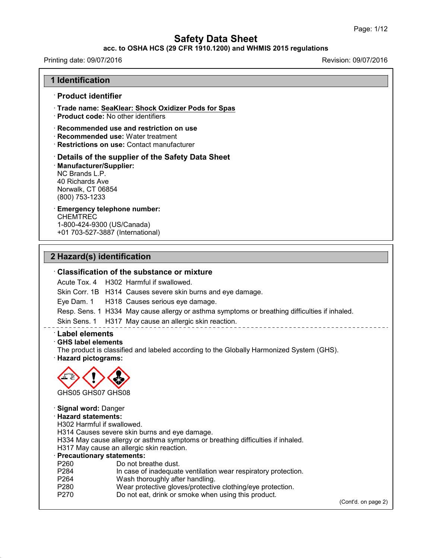## **acc. to OSHA HCS (29 CFR 1910.1200) and WHMIS 2015 regulations**

Printing date: 09/07/2016 Revision: 09/07/2016

# **1 Identification** · **Product identifier** · **Trade name: SeaKlear: Shock Oxidizer Pods for Spas** · **Product code:** No other identifiers · **Recommended use and restriction on use** · **Recommended use:** Water treatment · **Restrictions on use:** Contact manufacturer · **Details of the supplier of the Safety Data Sheet** · **Manufacturer/Supplier:** NC Brands L.P. 40 Richards Ave Norwalk, CT 06854 (800) 753-1233 · **Emergency telephone number:** CHEMTREC 1-800-424-9300 (US/Canada) +01 703-527-3887 (International) **2 Hazard(s) identification** · **Classification of the substance or mixture** Acute Tox. 4 H302 Harmful if swallowed. Skin Corr. 1B H314 Causes severe skin burns and eye damage. Eye Dam. 1 H318 Causes serious eye damage. Resp. Sens. 1 H334 May cause allergy or asthma symptoms or breathing difficulties if inhaled. Skin Sens. 1 H317 May cause an allergic skin reaction. · **Label elements** · **GHS label elements** The product is classified and labeled according to the Globally Harmonized System (GHS). · **Hazard pictograms:** GHS05 GHS07 GHS08 · **Signal word:** Danger · **Hazard statements:** H302 Harmful if swallowed. H314 Causes severe skin burns and eye damage. H334 May cause allergy or asthma symptoms or breathing difficulties if inhaled. H317 May cause an allergic skin reaction. **Precautionary statements:**<br>P260 Do not bre P260 Do not breathe dust.<br>P284 In case of inadequate

- In case of inadequate ventilation wear respiratory protection.
- P264 Wash thoroughly after handling.

43.0

- P280 Wear protective gloves/protective clothing/eye protection.
- P270 Do not eat, drink or smoke when using this product.

(Cont'd. on page 2)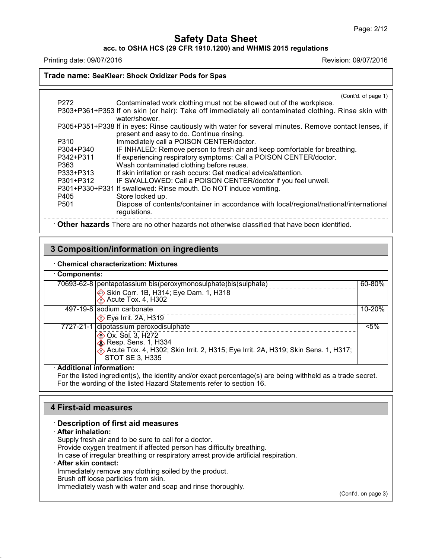**acc. to OSHA HCS (29 CFR 1910.1200) and WHMIS 2015 regulations**

Printing date: 09/07/2016 Revision: 09/07/2016

### **Trade name: SeaKlear: Shock Oxidizer Pods for Spas**

|                  | (Cont'd. of page 1)                                                                                   |
|------------------|-------------------------------------------------------------------------------------------------------|
| P <sub>272</sub> | Contaminated work clothing must not be allowed out of the workplace.                                  |
|                  | P303+P361+P353 If on skin (or hair): Take off immediately all contaminated clothing. Rinse skin with  |
|                  | water/shower.                                                                                         |
|                  | P305+P351+P338 If in eyes: Rinse cautiously with water for several minutes. Remove contact lenses, if |
|                  | present and easy to do. Continue rinsing.                                                             |
| P310             | Immediately call a POISON CENTER/doctor.                                                              |
| P304+P340        | IF INHALED: Remove person to fresh air and keep comfortable for breathing.                            |
| P342+P311        | If experiencing respiratory symptoms: Call a POISON CENTER/doctor.                                    |
| P363             | Wash contaminated clothing before reuse.                                                              |
| P333+P313        | If skin irritation or rash occurs: Get medical advice/attention.                                      |
| P301+P312        | IF SWALLOWED: Call a POISON CENTER/doctor if you feel unwell.                                         |
|                  | P301+P330+P331 If swallowed: Rinse mouth. Do NOT induce vomiting.                                     |
| P405             | Store locked up.                                                                                      |
| P <sub>501</sub> | Dispose of contents/container in accordance with local/regional/national/international                |
|                  | regulations.                                                                                          |
|                  |                                                                                                       |
|                  | Other hazards There are no other hazards not otherwise classified that have been identified.          |

## **3 Composition/information on ingredients**

#### · **Chemical characterization: Mixtures**

| Components:                                                                                                                                                                    |         |  |
|--------------------------------------------------------------------------------------------------------------------------------------------------------------------------------|---------|--|
| 70693-62-8   pentapotassium bis(peroxymonosulphate) bis(sulphate)                                                                                                              | 60-80%  |  |
| Skin Corr. 1B, H314; Eye Dam. 1, H318<br>Acute Tox. 4, H302                                                                                                                    |         |  |
| 497-19-8 sodium carbonate<br>$\diamondsuit$ Eye Irrit. 2A, H319                                                                                                                | 10-20%  |  |
| 7727-21-1 dipotassium peroxodisulphate                                                                                                                                         | $< 5\%$ |  |
| <b>EXALC</b> Ox. Sol. 3, H272<br>$\diamond$ Resp. Sens. 1, H334<br>Acute Tox. 4, H302; Skin Irrit. 2, H315; Eye Irrit. 2A, H319; Skin Sens. 1, H317;<br><b>STOT SE 3, H335</b> |         |  |
| .<br>.                                                                                                                                                                         |         |  |

#### · **Additional information:**

For the listed ingredient(s), the identity and/or exact percentage(s) are being withheld as a trade secret. For the wording of the listed Hazard Statements refer to section 16.

## **4 First-aid measures**

#### · **Description of first aid measures**

#### · **After inhalation:**

43.0

Supply fresh air and to be sure to call for a doctor. Provide oxygen treatment if affected person has difficulty breathing. In case of irregular breathing or respiratory arrest provide artificial respiration. · **After skin contact:** Immediately remove any clothing soiled by the product. Brush off loose particles from skin. Immediately wash with water and soap and rinse thoroughly.

(Cont'd. on page 3)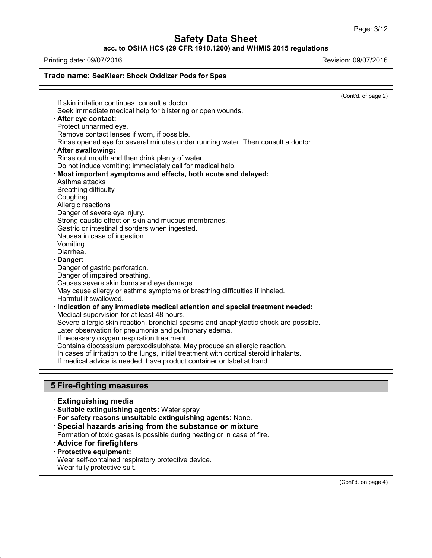**acc. to OSHA HCS (29 CFR 1910.1200) and WHMIS 2015 regulations**

Printing date: 09/07/2016 **Printing date:** 09/07/2016

| Trade name: SeaKlear: Shock Oxidizer Pods for Spas                                      |                     |
|-----------------------------------------------------------------------------------------|---------------------|
|                                                                                         | (Cont'd. of page 2) |
| If skin irritation continues, consult a doctor.                                         |                     |
| Seek immediate medical help for blistering or open wounds.                              |                     |
| · After eye contact:                                                                    |                     |
| Protect unharmed eye.                                                                   |                     |
| Remove contact lenses if worn, if possible.                                             |                     |
| Rinse opened eye for several minutes under running water. Then consult a doctor.        |                     |
| · After swallowing:                                                                     |                     |
| Rinse out mouth and then drink plenty of water.                                         |                     |
| Do not induce vomiting; immediately call for medical help.                              |                     |
| Most important symptoms and effects, both acute and delayed:                            |                     |
| Asthma attacks                                                                          |                     |
| <b>Breathing difficulty</b>                                                             |                     |
| Coughing                                                                                |                     |
| Allergic reactions<br>Danger of severe eye injury.                                      |                     |
| Strong caustic effect on skin and mucous membranes.                                     |                     |
| Gastric or intestinal disorders when ingested.                                          |                     |
| Nausea in case of ingestion.                                                            |                     |
| Vomiting.                                                                               |                     |
| Diarrhea.                                                                               |                     |
| Danger:                                                                                 |                     |
| Danger of gastric perforation.                                                          |                     |
| Danger of impaired breathing.                                                           |                     |
| Causes severe skin burns and eye damage.                                                |                     |
| May cause allergy or asthma symptoms or breathing difficulties if inhaled.              |                     |
| Harmful if swallowed.                                                                   |                     |
| Indication of any immediate medical attention and special treatment needed:             |                     |
| Medical supervision for at least 48 hours.                                              |                     |
| Severe allergic skin reaction, bronchial spasms and anaphylactic shock are possible.    |                     |
| Later observation for pneumonia and pulmonary edema.                                    |                     |
| If necessary oxygen respiration treatment.                                              |                     |
| Contains dipotassium peroxodisulphate. May produce an allergic reaction.                |                     |
| In cases of irritation to the lungs, initial treatment with cortical steroid inhalants. |                     |
| If medical advice is needed, have product container or label at hand.                   |                     |
| <b>5 Fire-fighting measures</b>                                                         |                     |
| <b>Extinguishing media</b>                                                              |                     |
| · Suitable extinguishing agents: Water spray                                            |                     |

- · **For safety reasons unsuitable extinguishing agents:** None.
- · **Special hazards arising from the substance or mixture**

Formation of toxic gases is possible during heating or in case of fire.

- · **Advice for firefighters**
- · **Protective equipment:**

Wear self-contained respiratory protective device.

Wear fully protective suit.

43.0

(Cont'd. on page 4)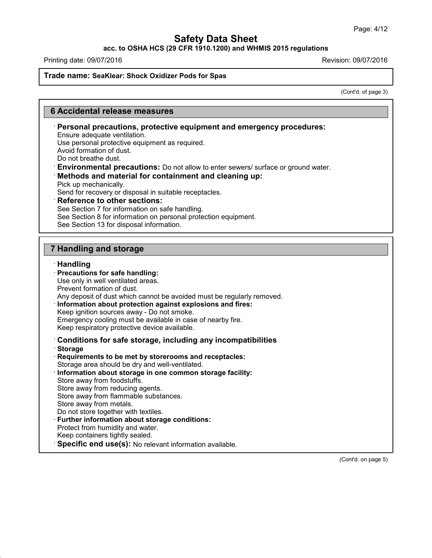**acc. to OSHA HCS (29 CFR 1910.1200) and WHMIS 2015 regulations**

Printing date: 09/07/2016 **Revision: 09/07/2016** 

## **Trade name: SeaKlear: Shock Oxidizer Pods for Spas**

(Cont'd. of page 3)

# **6 Accidental release measures**

| Ensure adequate ventilation.<br>Use personal protective equipment as required.<br>Avoid formation of dust.<br>Do not breathe dust.<br>· Environmental precautions: Do not allow to enter sewers/ surface or ground water.<br>Methods and material for containment and cleaning up:<br>Pick up mechanically.<br>Send for recovery or disposal in suitable receptacles.<br><b>Reference to other sections:</b><br>See Section 7 for information on safe handling.<br>See Section 8 for information on personal protection equipment.<br>See Section 13 for disposal information. |
|--------------------------------------------------------------------------------------------------------------------------------------------------------------------------------------------------------------------------------------------------------------------------------------------------------------------------------------------------------------------------------------------------------------------------------------------------------------------------------------------------------------------------------------------------------------------------------|
|                                                                                                                                                                                                                                                                                                                                                                                                                                                                                                                                                                                |
| <b>7 Handling and storage</b>                                                                                                                                                                                                                                                                                                                                                                                                                                                                                                                                                  |
| · Handling<br>· Precautions for safe handling:<br>Use only in well ventilated areas.<br>Prevent formation of dust.<br>Any deposit of dust which cannot be avoided must be regularly removed.<br>· Information about protection against explosions and fires:<br>Keep ignition sources away - Do not smoke.<br>Emergency cooling must be available in case of nearby fire.<br>Keep respiratory protective device available.                                                                                                                                                     |
| Conditions for safe storage, including any incompatibilities<br>· Storage<br>Requirements to be met by storerooms and receptacles:<br>Storage area should be dry and well-ventilated.<br>· Information about storage in one common storage facility:<br>Store away from foodstuffs.<br>Store away from reducing agents.<br>Store away from flammable substances.<br>Store away from metals.<br>Do not store together with textiles.<br>· Further information about storage conditions:                                                                                         |

· **Personal precautions, protective equipment and emergency procedures:**

Protect from humidity and water.

Keep containers tightly sealed.

43.0

· **Specific end use(s):** No relevant information available.

(Cont'd. on page 5)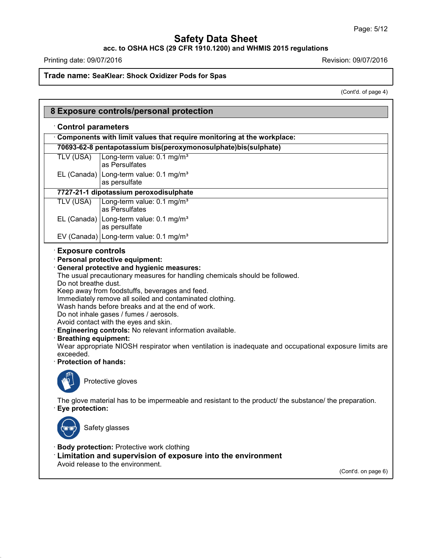**acc. to OSHA HCS (29 CFR 1910.1200) and WHMIS 2015 regulations**

Printing date: 09/07/2016 **Revision: 09/07/2016** 

43.0

**Trade name: SeaKlear: Shock Oxidizer Pods for Spas**

(Cont'd. of page 4)

| <b>Control parameters</b><br>Components with limit values that require monitoring at the workplace:<br>70693-62-8 pentapotassium bis(peroxymonosulphate)bis(sulphate)<br>Long-term value: 0.1 mg/m <sup>3</sup><br><b>TLV (USA)</b><br>as Persulfates<br>EL (Canada) Long-term value: $0.1 \text{ mg/m}^3$<br>as persulfate<br>7727-21-1 dipotassium peroxodisulphate<br>Long-term value: 0.1 mg/m <sup>3</sup><br><b>TLV (USA)</b><br>as Persulfates<br>EL (Canada)   Long-term value: 0.1 mg/m <sup>3</sup><br>as persulfate<br>EV (Canada) Long-term value: 0.1 mg/m <sup>3</sup><br><b>Exposure controls</b><br>· Personal protective equipment:<br>· General protective and hygienic measures:<br>The usual precautionary measures for handling chemicals should be followed.<br>Do not breathe dust.<br>Keep away from foodstuffs, beverages and feed.<br>Immediately remove all soiled and contaminated clothing.<br>Wash hands before breaks and at the end of work.<br>Do not inhale gases / fumes / aerosols.<br>Avoid contact with the eyes and skin.<br>Engineering controls: No relevant information available.<br><b>Breathing equipment:</b><br>Wear appropriate NIOSH respirator when ventilation is inadequate and occupational exposure limits are<br>exceeded.<br>· Protection of hands:<br>Protective gloves |
|----------------------------------------------------------------------------------------------------------------------------------------------------------------------------------------------------------------------------------------------------------------------------------------------------------------------------------------------------------------------------------------------------------------------------------------------------------------------------------------------------------------------------------------------------------------------------------------------------------------------------------------------------------------------------------------------------------------------------------------------------------------------------------------------------------------------------------------------------------------------------------------------------------------------------------------------------------------------------------------------------------------------------------------------------------------------------------------------------------------------------------------------------------------------------------------------------------------------------------------------------------------------------------------------------------------------------------|
|                                                                                                                                                                                                                                                                                                                                                                                                                                                                                                                                                                                                                                                                                                                                                                                                                                                                                                                                                                                                                                                                                                                                                                                                                                                                                                                                  |
|                                                                                                                                                                                                                                                                                                                                                                                                                                                                                                                                                                                                                                                                                                                                                                                                                                                                                                                                                                                                                                                                                                                                                                                                                                                                                                                                  |
|                                                                                                                                                                                                                                                                                                                                                                                                                                                                                                                                                                                                                                                                                                                                                                                                                                                                                                                                                                                                                                                                                                                                                                                                                                                                                                                                  |
|                                                                                                                                                                                                                                                                                                                                                                                                                                                                                                                                                                                                                                                                                                                                                                                                                                                                                                                                                                                                                                                                                                                                                                                                                                                                                                                                  |
|                                                                                                                                                                                                                                                                                                                                                                                                                                                                                                                                                                                                                                                                                                                                                                                                                                                                                                                                                                                                                                                                                                                                                                                                                                                                                                                                  |
|                                                                                                                                                                                                                                                                                                                                                                                                                                                                                                                                                                                                                                                                                                                                                                                                                                                                                                                                                                                                                                                                                                                                                                                                                                                                                                                                  |
|                                                                                                                                                                                                                                                                                                                                                                                                                                                                                                                                                                                                                                                                                                                                                                                                                                                                                                                                                                                                                                                                                                                                                                                                                                                                                                                                  |
|                                                                                                                                                                                                                                                                                                                                                                                                                                                                                                                                                                                                                                                                                                                                                                                                                                                                                                                                                                                                                                                                                                                                                                                                                                                                                                                                  |
|                                                                                                                                                                                                                                                                                                                                                                                                                                                                                                                                                                                                                                                                                                                                                                                                                                                                                                                                                                                                                                                                                                                                                                                                                                                                                                                                  |
|                                                                                                                                                                                                                                                                                                                                                                                                                                                                                                                                                                                                                                                                                                                                                                                                                                                                                                                                                                                                                                                                                                                                                                                                                                                                                                                                  |
|                                                                                                                                                                                                                                                                                                                                                                                                                                                                                                                                                                                                                                                                                                                                                                                                                                                                                                                                                                                                                                                                                                                                                                                                                                                                                                                                  |
| The glove material has to be impermeable and resistant to the product/ the substance/ the preparation.<br>Eye protection:                                                                                                                                                                                                                                                                                                                                                                                                                                                                                                                                                                                                                                                                                                                                                                                                                                                                                                                                                                                                                                                                                                                                                                                                        |
| $\sim$<br>Safety glasses                                                                                                                                                                                                                                                                                                                                                                                                                                                                                                                                                                                                                                                                                                                                                                                                                                                                                                                                                                                                                                                                                                                                                                                                                                                                                                         |
| <b>Body protection: Protective work clothing</b><br>· Limitation and supervision of exposure into the environment                                                                                                                                                                                                                                                                                                                                                                                                                                                                                                                                                                                                                                                                                                                                                                                                                                                                                                                                                                                                                                                                                                                                                                                                                |
| Avoid release to the environment.<br>(Cont'd. on page 6)                                                                                                                                                                                                                                                                                                                                                                                                                                                                                                                                                                                                                                                                                                                                                                                                                                                                                                                                                                                                                                                                                                                                                                                                                                                                         |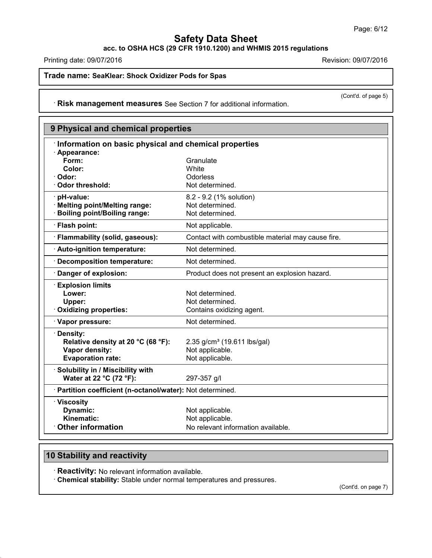**acc. to OSHA HCS (29 CFR 1910.1200) and WHMIS 2015 regulations**

Printing date: 09/07/2016 **Revision: 09/07/2016** 

**Trade name: SeaKlear: Shock Oxidizer Pods for Spas**

(Cont'd. of page 5)

· **Risk management measures** See Section 7 for additional information.

| 9 Physical and chemical properties                         |                                                   |  |
|------------------------------------------------------------|---------------------------------------------------|--|
| Information on basic physical and chemical properties      |                                                   |  |
| · Appearance:                                              |                                                   |  |
| Form:                                                      | Granulate                                         |  |
| Color:                                                     | <b>White</b>                                      |  |
| · Odor:                                                    | Odorless                                          |  |
| · Odor threshold:                                          | Not determined.                                   |  |
| · pH-value:                                                | 8.2 - 9.2 (1% solution)                           |  |
| · Melting point/Melting range:                             | Not determined.                                   |  |
| · Boiling point/Boiling range:                             | Not determined.                                   |  |
| · Flash point:                                             | Not applicable.                                   |  |
| · Flammability (solid, gaseous):                           | Contact with combustible material may cause fire. |  |
| · Auto-ignition temperature:                               | Not determined.                                   |  |
| · Decomposition temperature:                               | Not determined.                                   |  |
| Danger of explosion:                                       | Product does not present an explosion hazard.     |  |
| <b>Explosion limits</b>                                    |                                                   |  |
| Lower:                                                     | Not determined.                                   |  |
| Upper:                                                     | Not determined.                                   |  |
| · Oxidizing properties:                                    | Contains oxidizing agent.                         |  |
| · Vapor pressure:                                          | Not determined.                                   |  |
| · Density:                                                 |                                                   |  |
| Relative density at 20 °C (68 °F):                         | 2.35 g/cm <sup>3</sup> (19.611 lbs/gal)           |  |
| Vapor density:                                             | Not applicable.                                   |  |
| <b>Evaporation rate:</b>                                   | Not applicable.                                   |  |
| · Solubility in / Miscibility with                         |                                                   |  |
| Water at 22 °C (72 °F):                                    | 297-357 g/l                                       |  |
| · Partition coefficient (n-octanol/water): Not determined. |                                                   |  |
| · Viscosity                                                |                                                   |  |
| Dynamic:                                                   | Not applicable.                                   |  |
| <b>Kinematic:</b>                                          | Not applicable.                                   |  |
| <b>Other information</b>                                   | No relevant information available.                |  |

# **10 Stability and reactivity**

43.0

· **Reactivity:** No relevant information available.

· **Chemical stability:** Stable under normal temperatures and pressures.

(Cont'd. on page 7)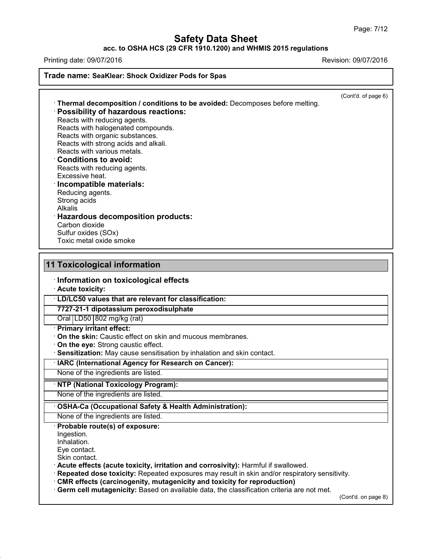## **acc. to OSHA HCS (29 CFR 1910.1200) and WHMIS 2015 regulations**

Printing date: 09/07/2016 Revision: 09/07/2016

**Trade name: SeaKlear: Shock Oxidizer Pods for Spas**

(Cont'd. of page 6)

| Reacts with organic substances.<br>Reacts with strong acids and alkali.<br>Reacts with various metals.<br>$\cdot$ Conditions to avoid:<br>Reacts with reducing agents.<br>Excessive heat.<br>· Incompatible materials:<br>Reducing agents.<br>Strong acids<br><b>Alkalis</b><br>· Hazardous decomposition products:<br>Carbon dioxide<br>Sulfur oxides (SOx)<br>Toxic metal oxide smoke |  | · Thermal decomposition / conditions to be avoided: Decomposes before melting.<br>· Possibility of hazardous reactions:<br>Reacts with reducing agents.<br>Reacts with halogenated compounds. |  |
|-----------------------------------------------------------------------------------------------------------------------------------------------------------------------------------------------------------------------------------------------------------------------------------------------------------------------------------------------------------------------------------------|--|-----------------------------------------------------------------------------------------------------------------------------------------------------------------------------------------------|--|
|-----------------------------------------------------------------------------------------------------------------------------------------------------------------------------------------------------------------------------------------------------------------------------------------------------------------------------------------------------------------------------------------|--|-----------------------------------------------------------------------------------------------------------------------------------------------------------------------------------------------|--|

## **11 Toxicological information**

· **Information on toxicological effects**

· **Acute toxicity:**

· **LD/LC50 values that are relevant for classification:**

**7727-21-1 dipotassium peroxodisulphate**

Oral LD50 802 mg/kg (rat)

· **Primary irritant effect:**

· **On the skin:** Caustic effect on skin and mucous membranes.

· **On the eye:** Strong caustic effect.

· **Sensitization:** May cause sensitisation by inhalation and skin contact.

· **IARC (International Agency for Research on Cancer):**

None of the ingredients are listed.

#### · **NTP (National Toxicology Program):**

None of the ingredients are listed.

#### · **OSHA-Ca (Occupational Safety & Health Administration):**

None of the ingredients are listed.

## · **Probable route(s) of exposure:**

Ingestion.

Inhalation.

Eye contact. Skin contact.

43.0

· **Acute effects (acute toxicity, irritation and corrosivity):** Harmful if swallowed.

· **Repeated dose toxicity:** Repeated exposures may result in skin and/or respiratory sensitivity.

· **CMR effects (carcinogenity, mutagenicity and toxicity for reproduction)**

· **Germ cell mutagenicity:** Based on available data, the classification criteria are not met.

(Cont'd. on page 8)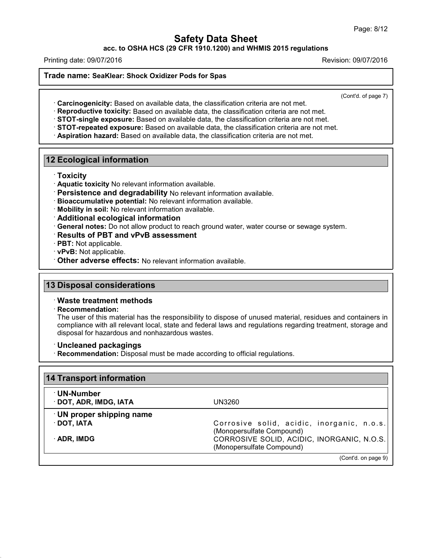**acc. to OSHA HCS (29 CFR 1910.1200) and WHMIS 2015 regulations**

Printing date: 09/07/2016 Revision: 09/07/2016

#### **Trade name: SeaKlear: Shock Oxidizer Pods for Spas**

(Cont'd. of page 7)

· **Carcinogenicity:** Based on available data, the classification criteria are not met.

· **Reproductive toxicity:** Based on available data, the classification criteria are not met.

· **STOT-single exposure:** Based on available data, the classification criteria are not met.

· **STOT-repeated exposure:** Based on available data, the classification criteria are not met.

· **Aspiration hazard:** Based on available data, the classification criteria are not met.

## **12 Ecological information**

- · **Toxicity**
- · **Aquatic toxicity** No relevant information available.
- · **Persistence and degradability** No relevant information available.
- · **Bioaccumulative potential:** No relevant information available.
- · **Mobility in soil:** No relevant information available.

· **Additional ecological information**

- · **General notes:** Do not allow product to reach ground water, water course or sewage system.
- · **Results of PBT and vPvB assessment**
- · **PBT:** Not applicable.
- · **vPvB:** Not applicable.
- · **Other adverse effects:** No relevant information available.

### **13 Disposal considerations**

### · **Waste treatment methods**

· **Recommendation:**

43.0

The user of this material has the responsibility to dispose of unused material, residues and containers in compliance with all relevant local, state and federal laws and regulations regarding treatment, storage and disposal for hazardous and nonhazardous wastes.

#### · **Uncleaned packagings**

· **Recommendation:** Disposal must be made according to official regulations.

| <b>14 Transport information</b>                                         |  |
|-------------------------------------------------------------------------|--|
| UN3260                                                                  |  |
|                                                                         |  |
| Corrosive solid, acidic, inorganic, n.o.s.<br>(Monopersulfate Compound) |  |
| CORROSIVE SOLID, ACIDIC, INORGANIC, N.O.S.<br>(Monopersulfate Compound) |  |
|                                                                         |  |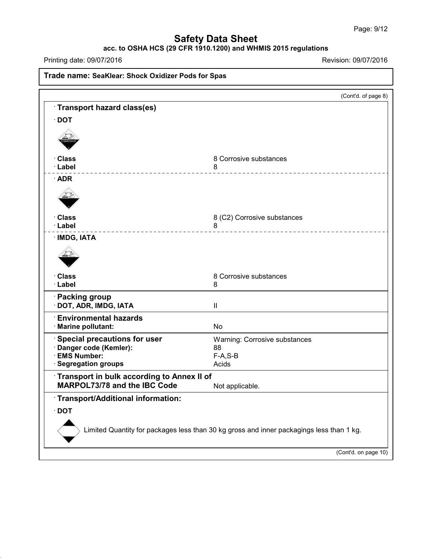## **acc. to OSHA HCS (29 CFR 1910.1200) and WHMIS 2015 regulations**

Printing date: 09/07/2016 Revision: 09/07/2016

43.0

**Trade name: SeaKlear: Shock Oxidizer Pods for Spas** (Cont'd. of page 8) · **Transport hazard class(es)** · **DOT** · **Class** 8 Corrosive substances<br> **Example:** 8 Additional 8 · **Label** 8 · **ADR** · **Class** 8 (C2) Corrosive substances<br> **Class** 8 · **Label** 8 · **IMDG, IATA** · **Class** 8 Corrosive substances<br>· Label 8 8 · **Label** 8 · **Packing group** · **DOT, ADR, IMDG, IATA** II · **Environmental hazards** · **Marine pollutant:** No · **Special precautions for user** Warning: Corrosive substances · **Danger code (Kemler):** 88  $\cdot$  **EMS** Number: **· Segregation groups Acids** Acids · **Transport in bulk according to Annex II of MARPOL73/78** and the IBC Code Not applicable. · **Transport/Additional information:** · **DOT** Limited Quantity for packages less than 30 kg gross and inner packagings less than 1 kg. (Cont'd. on page 10)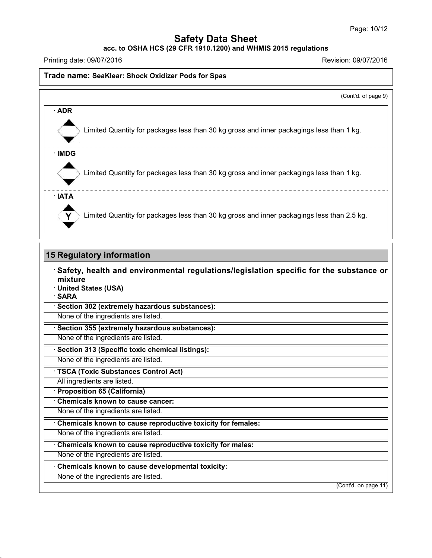**acc. to OSHA HCS (29 CFR 1910.1200) and WHMIS 2015 regulations**

Printing date: 09/07/2016 Revision: 09/07/2016

### **Trade name: SeaKlear: Shock Oxidizer Pods for Spas**

|              | (Cont'd. of page 9)                                                                        |
|--------------|--------------------------------------------------------------------------------------------|
| $\cdot$ ADR  |                                                                                            |
|              | Limited Quantity for packages less than 30 kg gross and inner packagings less than 1 kg.   |
| ∴IMDG        |                                                                                            |
|              | Limited Quantity for packages less than 30 kg gross and inner packagings less than 1 kg.   |
| $\cdot$ IATA |                                                                                            |
|              | Limited Quantity for packages less than 30 kg gross and inner packagings less than 2.5 kg. |

#### **15 Regulatory information**

· **Safety, health and environmental regulations/legislation specific for the substance or mixture** · **United States (USA)** · **SARA** · **Section 302 (extremely hazardous substances):** None of the ingredients are listed.

· **Section 355 (extremely hazardous substances):**

None of the ingredients are listed.

· **Section 313 (Specific toxic chemical listings):**

None of the ingredients are listed.

· **TSCA (Toxic Substances Control Act)**

All ingredients are listed.

· **Proposition 65 (California)**

· **Chemicals known to cause cancer:**

None of the ingredients are listed.

· **Chemicals known to cause reproductive toxicity for females:**

None of the ingredients are listed.

· **Chemicals known to cause reproductive toxicity for males:**

None of the ingredients are listed.

· **Chemicals known to cause developmental toxicity:**

None of the ingredients are listed.

43.0

(Cont'd. on page 11)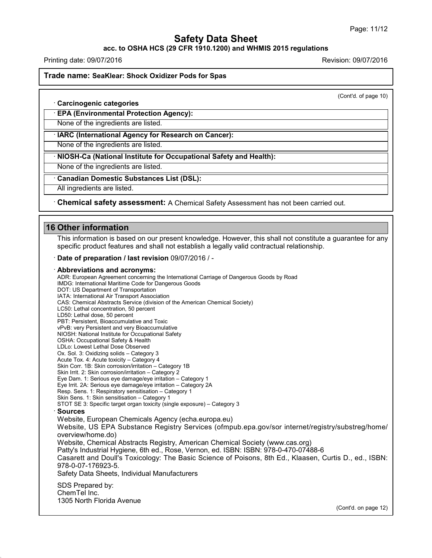**acc. to OSHA HCS (29 CFR 1910.1200) and WHMIS 2015 regulations**

Printing date: 09/07/2016 Revision: 09/07/2016

**Trade name: SeaKlear: Shock Oxidizer Pods for Spas**

(Cont'd. of page 10)

· **Carcinogenic categories**

· **EPA (Environmental Protection Agency):**

None of the ingredients are listed.

· **IARC (International Agency for Research on Cancer):**

None of the ingredients are listed.

· **NIOSH-Ca (National Institute for Occupational Safety and Health):**

None of the ingredients are listed.

· **Canadian Domestic Substances List (DSL):**

All ingredients are listed.

· **Chemical safety assessment:** A Chemical Safety Assessment has notbeen carried out.

## **16 Other information**

43.0

This information is based on our present knowledge. However, this shall not constitute a guarantee for any specific product features and shall not establish a legally valid contractual relationship.

· **Date of preparation / last revision** 09/07/2016 / -

#### · **Abbreviations and acronyms:**

ADR: European Agreement concerning the International Carriage of Dangerous Goods by Road IMDG: International Maritime Code for Dangerous Goods DOT: US Department of Transportation IATA: International Air Transport Association CAS: Chemical Abstracts Service (division of the American Chemical Society) LC50: Lethal concentration, 50 percent LD50: Lethal dose, 50 percent PBT: Persistent, Bioaccumulative and Toxic vPvB: very Persistent and very Bioaccumulative NIOSH: National Institute for Occupational Safety OSHA: Occupational Safety & Health LDLo: Lowest Lethal Dose Observed Ox. Sol. 3: Oxidizing solids – Category 3 Acute Tox. 4: Acute toxicity – Category 4 Skin Corr. 1B: Skin corrosion/irritation – Category 1B Skin Irrit. 2: Skin corrosion/irritation - Category 2 Eye Dam. 1: Serious eye damage/eye irritation – Category 1 Eye Irrit.2A: Serious eye damage/eye irritation – Category 2A Resp. Sens. 1: Respiratory sensitisation – Category 1 Skin Sens. 1: Skin sensitisation – Category 1 STOT SE 3: Specific target organ toxicity (single exposure) – Category 3 · **Sources** Website, European Chemicals Agency (echa.europa.eu) Website, US EPA Substance Registry Services (ofmpub.epa.gov/sor internet/registry/substreg/home/ overview/home.do) Website, Chemical Abstracts Registry, American Chemical Society (www.cas.org) Patty's Industrial Hygiene, 6th ed., Rose, Vernon, ed. ISBN: ISBN: 978-0-470-07488-6 Casarett and Doull's Toxicology: The Basic Science of Poisons, 8th Ed., Klaasen, Curtis D.,ed., ISBN: 978-0-07-176923-5. Safety Data Sheets, Individual Manufacturers SDS Prepared by: ChemTel Inc. 1305 North Florida Avenue (Cont'd. on page 12)